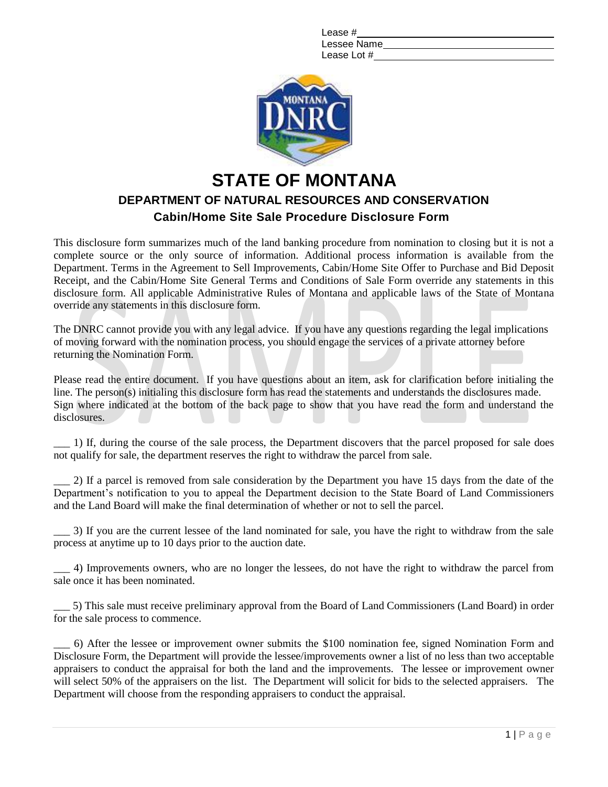| Lease #     |
|-------------|
| Lessee Name |
| Lease Lot # |



## **DEPARTMENT OF NATURAL RESOURCES AND CONSERVATION Cabin/Home Site Sale Procedure Disclosure Form STATE OF MONTANA**

This disclosure form summarizes much of the land banking procedure from nomination to closing but it is not a complete source or the only source of information. Additional process information is available from the Department. Terms in the Agreement to Sell Improvements, Cabin/Home Site Offer to Purchase and Bid Deposit Receipt, and the Cabin/Home Site General Terms and Conditions of Sale Form override any statements in this disclosure form. All applicable Administrative Rules of Montana and applicable laws of the State of Montana override any statements in this disclosure form.

The DNRC cannot provide you with any legal advice. If you have any questions regarding the legal implications of moving forward with the nomination process, you should engage the services of a private attorney before returning the Nomination Form.

Please read the entire document. If you have questions about an item, ask for clarification before initialing the line. The person(s) initialing this disclosure form has read the statements and understands the disclosures made. Sign where indicated at the bottom of the back page to show that you have read the form and understand the disclosures.

\_\_\_ 1) If, during the course of the sale process, the Department discovers that the parcel proposed for sale does not qualify for sale, the department reserves the right to withdraw the parcel from sale.

\_\_\_ 2) If a parcel is removed from sale consideration by the Department you have 15 days from the date of the Department's notification to you to appeal the Department decision to the State Board of Land Commissioners and the Land Board will make the final determination of whether or not to sell the parcel.

\_\_\_ 3) If you are the current lessee of the land nominated for sale, you have the right to withdraw from the sale process at anytime up to 10 days prior to the auction date.

\_\_\_ 4) Improvements owners, who are no longer the lessees, do not have the right to withdraw the parcel from sale once it has been nominated.

\_\_\_ 5) This sale must receive preliminary approval from the Board of Land Commissioners (Land Board) in order for the sale process to commence.

\_\_\_ 6) After the lessee or improvement owner submits the \$100 nomination fee, signed Nomination Form and Disclosure Form, the Department will provide the lessee/improvements owner a list of no less than two acceptable appraisers to conduct the appraisal for both the land and the improvements. The lessee or improvement owner will select 50% of the appraisers on the list. The Department will solicit for bids to the selected appraisers. The Department will choose from the responding appraisers to conduct the appraisal.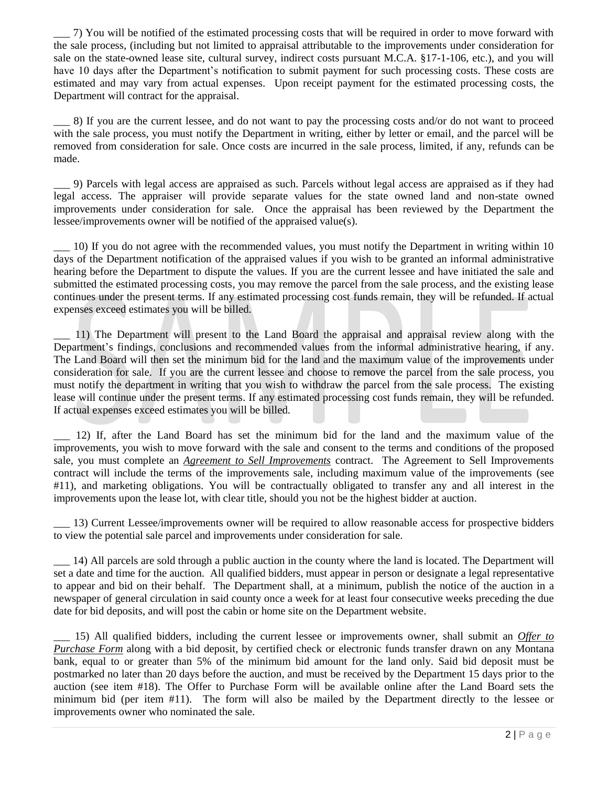\_\_\_ 7) You will be notified of the estimated processing costs that will be required in order to move forward with the sale process, (including but not limited to appraisal attributable to the improvements under consideration for sale on the state-owned lease site, cultural survey, indirect costs pursuant M.C.A. §17-1-106, etc.), and you will have 10 days after the Department's notification to submit payment for such processing costs. These costs are estimated and may vary from actual expenses. Upon receipt payment for the estimated processing costs, the Department will contract for the appraisal.

\_\_\_ 8) If you are the current lessee, and do not want to pay the processing costs and/or do not want to proceed with the sale process, you must notify the Department in writing, either by letter or email, and the parcel will be removed from consideration for sale. Once costs are incurred in the sale process, limited, if any, refunds can be made.

\_\_\_ 9) Parcels with legal access are appraised as such. Parcels without legal access are appraised as if they had legal access. The appraiser will provide separate values for the state owned land and non-state owned improvements under consideration for sale. Once the appraisal has been reviewed by the Department the lessee/improvements owner will be notified of the appraised value(s).

\_\_\_ 10) If you do not agree with the recommended values, you must notify the Department in writing within 10 days of the Department notification of the appraised values if you wish to be granted an informal administrative hearing before the Department to dispute the values. If you are the current lessee and have initiated the sale and submitted the estimated processing costs, you may remove the parcel from the sale process, and the existing lease continues under the present terms. If any estimated processing cost funds remain, they will be refunded. If actual expenses exceed estimates you will be billed.

\_\_\_ 11) The Department will present to the Land Board the appraisal and appraisal review along with the Department's findings, conclusions and recommended values from the informal administrative hearing, if any. The Land Board will then set the minimum bid for the land and the maximum value of the improvements under consideration for sale. If you are the current lessee and choose to remove the parcel from the sale process, you must notify the department in writing that you wish to withdraw the parcel from the sale process. The existing lease will continue under the present terms. If any estimated processing cost funds remain, they will be refunded. If actual expenses exceed estimates you will be billed.

\_\_\_ 12) If, after the Land Board has set the minimum bid for the land and the maximum value of the improvements, you wish to move forward with the sale and consent to the terms and conditions of the proposed sale, you must complete an *Agreement to Sell Improvements* contract. The Agreement to Sell Improvements contract will include the terms of the improvements sale, including maximum value of the improvements (see #11), and marketing obligations. You will be contractually obligated to transfer any and all interest in the improvements upon the lease lot, with clear title, should you not be the highest bidder at auction.

\_\_\_ 13) Current Lessee/improvements owner will be required to allow reasonable access for prospective bidders to view the potential sale parcel and improvements under consideration for sale.

\_\_\_ 14) All parcels are sold through a public auction in the county where the land is located. The Department will set a date and time for the auction. All qualified bidders, must appear in person or designate a legal representative to appear and bid on their behalf. The Department shall, at a minimum, publish the notice of the auction in a newspaper of general circulation in said county once a week for at least four consecutive weeks preceding the due date for bid deposits, and will post the cabin or home site on the Department website.

\_\_\_ 15) All qualified bidders, including the current lessee or improvements owner, shall submit an *Offer to Purchase Form* along with a bid deposit, by certified check or electronic funds transfer drawn on any Montana bank, equal to or greater than 5% of the minimum bid amount for the land only. Said bid deposit must be postmarked no later than 20 days before the auction, and must be received by the Department 15 days prior to the auction (see item #18). The Offer to Purchase Form will be available online after the Land Board sets the minimum bid (per item #11). The form will also be mailed by the Department directly to the lessee or improvements owner who nominated the sale.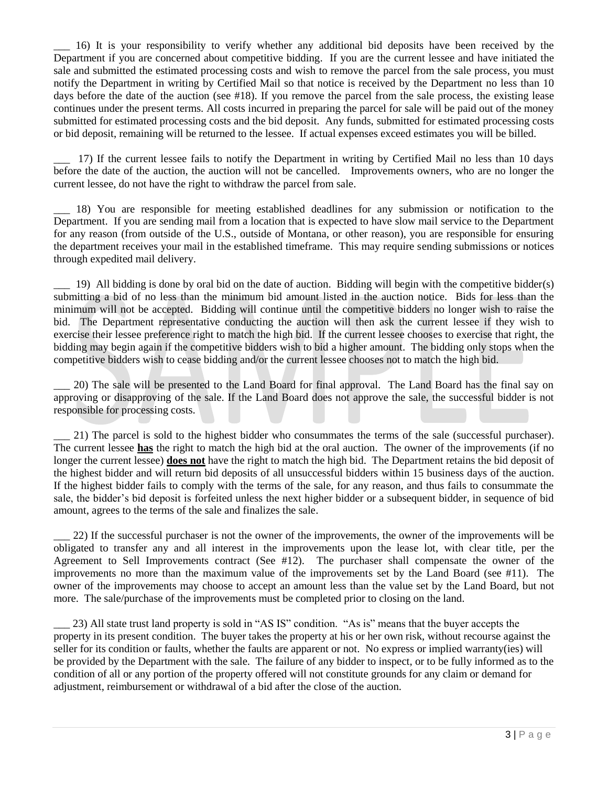\_\_\_ 16) It is your responsibility to verify whether any additional bid deposits have been received by the Department if you are concerned about competitive bidding. If you are the current lessee and have initiated the sale and submitted the estimated processing costs and wish to remove the parcel from the sale process, you must notify the Department in writing by Certified Mail so that notice is received by the Department no less than 10 days before the date of the auction (see #18). If you remove the parcel from the sale process, the existing lease continues under the present terms. All costs incurred in preparing the parcel for sale will be paid out of the money submitted for estimated processing costs and the bid deposit. Any funds, submitted for estimated processing costs or bid deposit, remaining will be returned to the lessee. If actual expenses exceed estimates you will be billed.

\_\_\_ 17) If the current lessee fails to notify the Department in writing by Certified Mail no less than 10 days before the date of the auction, the auction will not be cancelled. Improvements owners, who are no longer the current lessee, do not have the right to withdraw the parcel from sale.

\_\_\_ 18) You are responsible for meeting established deadlines for any submission or notification to the Department. If you are sending mail from a location that is expected to have slow mail service to the Department for any reason (from outside of the U.S., outside of Montana, or other reason), you are responsible for ensuring the department receives your mail in the established timeframe. This may require sending submissions or notices through expedited mail delivery.

 $\Box$  19) All bidding is done by oral bid on the date of auction. Bidding will begin with the competitive bidder(s) submitting a bid of no less than the minimum bid amount listed in the auction notice. Bids for less than the minimum will not be accepted. Bidding will continue until the competitive bidders no longer wish to raise the bid. The Department representative conducting the auction will then ask the current lessee if they wish to exercise their lessee preference right to match the high bid. If the current lessee chooses to exercise that right, the bidding may begin again if the competitive bidders wish to bid a higher amount. The bidding only stops when the competitive bidders wish to cease bidding and/or the current lessee chooses not to match the high bid.

\_\_\_ 20) The sale will be presented to the Land Board for final approval. The Land Board has the final say on approving or disapproving of the sale. If the Land Board does not approve the sale, the successful bidder is not responsible for processing costs.

\_\_\_ 21) The parcel is sold to the highest bidder who consummates the terms of the sale (successful purchaser). The current lessee **has** the right to match the high bid at the oral auction. The owner of the improvements (if no longer the current lessee) **does not** have the right to match the high bid. The Department retains the bid deposit of the highest bidder and will return bid deposits of all unsuccessful bidders within 15 business days of the auction. If the highest bidder fails to comply with the terms of the sale, for any reason, and thus fails to consummate the sale, the bidder's bid deposit is forfeited unless the next higher bidder or a subsequent bidder, in sequence of bid amount, agrees to the terms of the sale and finalizes the sale.

22) If the successful purchaser is not the owner of the improvements, the owner of the improvements will be obligated to transfer any and all interest in the improvements upon the lease lot, with clear title, per the Agreement to Sell Improvements contract (See #12). The purchaser shall compensate the owner of the improvements no more than the maximum value of the improvements set by the Land Board (see #11). The owner of the improvements may choose to accept an amount less than the value set by the Land Board, but not more. The sale/purchase of the improvements must be completed prior to closing on the land.

\_\_\_ 23) All state trust land property is sold in "AS IS" condition. "As is" means that the buyer accepts the property in its present condition. The buyer takes the property at his or her own risk, without recourse against the seller for its condition or faults, whether the faults are apparent or not. No express or implied warranty(ies) will be provided by the Department with the sale. The failure of any bidder to inspect, or to be fully informed as to the condition of all or any portion of the property offered will not constitute grounds for any claim or demand for adjustment, reimbursement or withdrawal of a bid after the close of the auction.